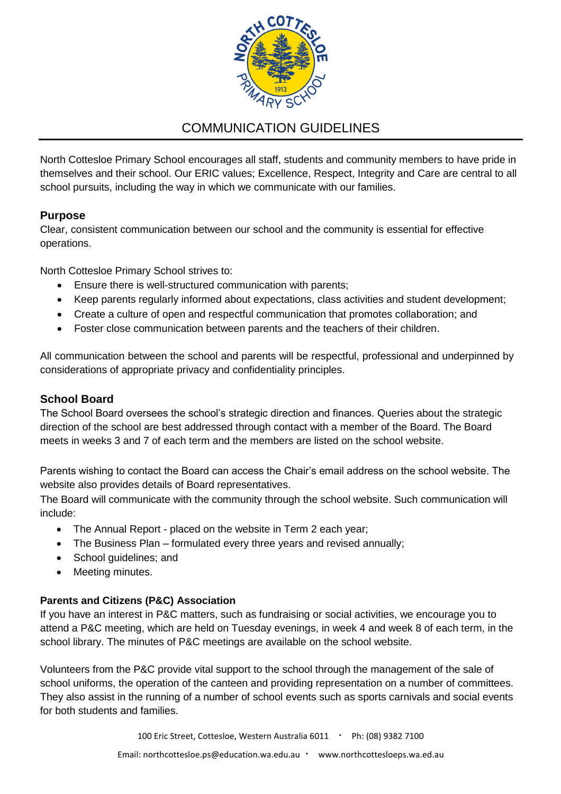

# COMMUNICATION GUIDELINES

North Cottesloe Primary School encourages all staff, students and community members to have pride in themselves and their school. Our ERIC values; Excellence, Respect, Integrity and Care are central to all school pursuits, including the way in which we communicate with our families.

# **Purpose**

Clear, consistent communication between our school and the community is essential for effective operations.

North Cottesloe Primary School strives to:

- Ensure there is well-structured communication with parents;
- Keep parents regularly informed about expectations, class activities and student development;
- Create a culture of open and respectful communication that promotes collaboration; and
- Foster close communication between parents and the teachers of their children.

All communication between the school and parents will be respectful, professional and underpinned by considerations of appropriate privacy and confidentiality principles.

## **School Board**

The School Board oversees the school's strategic direction and finances. Queries about the strategic direction of the school are best addressed through contact with a member of the Board. The Board meets in weeks 3 and 7 of each term and the members are listed on the school website.

Parents wishing to contact the Board can access the Chair's email address on the school website. The website also provides details of Board representatives.

The Board will communicate with the community through the school website. Such communication will include:

- The Annual Report placed on the website in Term 2 each year;
- The Business Plan formulated every three years and revised annually;
- School guidelines; and
- Meeting minutes.

### **Parents and Citizens (P&C) Association**

If you have an interest in P&C matters, such as fundraising or social activities, we encourage you to attend a P&C meeting, which are held on Tuesday evenings, in week 4 and week 8 of each term, in the school library. The minutes of P&C meetings are available on the school website.

Volunteers from the P&C provide vital support to the school through the management of the sale of school uniforms, the operation of the canteen and providing representation on a number of committees. They also assist in the running of a number of school events such as sports carnivals and social events for both students and families.

100 Eric Street, Cottesloe, Western Australia 6011 · Ph: (08) 9382 7100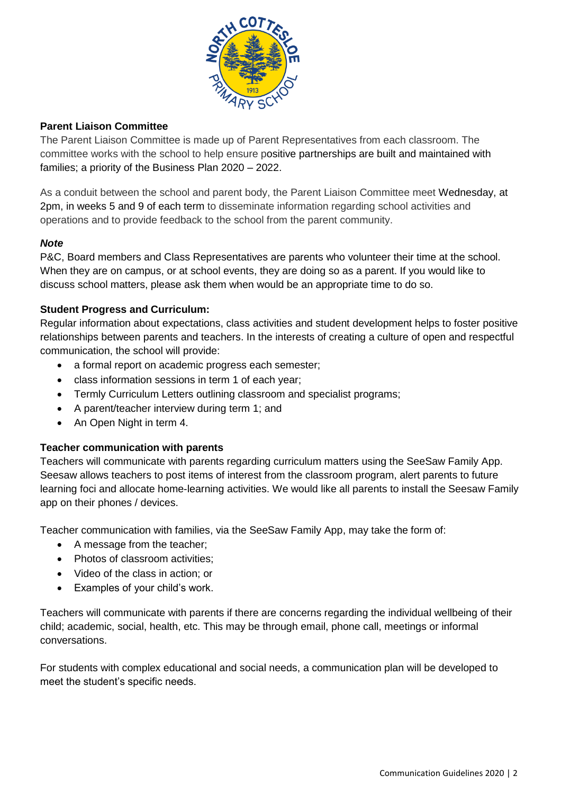

### **Parent Liaison Committee**

The Parent Liaison Committee is made up of Parent Representatives from each classroom. The committee works with the school to help ensure positive partnerships are built and maintained with families; a priority of the Business Plan 2020 – 2022.

As a conduit between the school and parent body, the Parent Liaison Committee meet Wednesday, at 2pm, in weeks 5 and 9 of each term to disseminate information regarding school activities and operations and to provide feedback to the school from the parent community.

#### *Note*

P&C, Board members and Class Representatives are parents who volunteer their time at the school. When they are on campus, or at school events, they are doing so as a parent. If you would like to discuss school matters, please ask them when would be an appropriate time to do so.

### **Student Progress and Curriculum:**

Regular information about expectations, class activities and student development helps to foster positive relationships between parents and teachers. In the interests of creating a culture of open and respectful communication, the school will provide:

- a formal report on academic progress each semester;
- class information sessions in term 1 of each year;
- Termly Curriculum Letters outlining classroom and specialist programs;
- A parent/teacher interview during term 1; and
- An Open Night in term 4.

### **Teacher communication with parents**

Teachers will communicate with parents regarding curriculum matters using the SeeSaw Family App. Seesaw allows teachers to post items of interest from the classroom program, alert parents to future learning foci and allocate home-learning activities. We would like all parents to install the Seesaw Family app on their phones / devices.

Teacher communication with families, via the SeeSaw Family App, may take the form of:

- A message from the teacher;
- Photos of classroom activities;
- Video of the class in action; or
- Examples of your child's work.

Teachers will communicate with parents if there are concerns regarding the individual wellbeing of their child; academic, social, health, etc. This may be through email, phone call, meetings or informal conversations.

For students with complex educational and social needs, a communication plan will be developed to meet the student's specific needs.